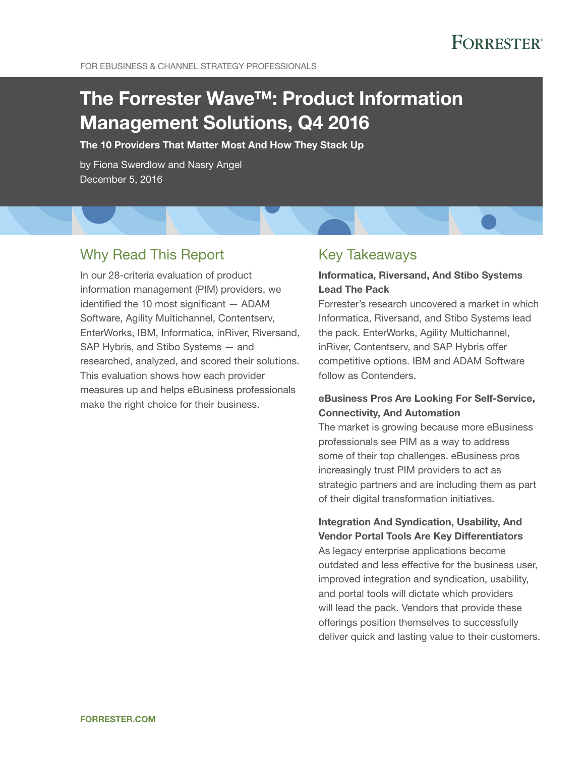FOR EBUSINESS & CHANNEL STRATEGY PROFESSIONALS

# The Forrester Wave™: Product Information Management Solutions, Q4 2016

The 10 Providers That Matter Most And How They Stack Up

by Fiona Swerdlow and Nasry Angel December 5, 2016

## Why Read This Report

In our 28-criteria evaluation of product information management (PIM) providers, we identified the 10 most significant  $-$  ADAM Software, Agility Multichannel, Contentserv, EnterWorks, IBM, Informatica, inRiver, Riversand, SAP Hybris, and Stibo Systems — and researched, analyzed, and scored their solutions. This evaluation shows how each provider measures up and helps eBusiness professionals make the right choice for their business.

## Key Takeaways

### Informatica, Riversand, And Stibo Systems Lead The Pack

Forrester's research uncovered a market in which Informatica, Riversand, and Stibo Systems lead the pack. EnterWorks, Agility Multichannel, inRiver, Contentserv, and SAP Hybris offer competitive options. IBM and ADAM Software follow as Contenders.

### eBusiness Pros Are Looking For Self-Service, Connectivity, And Automation

The market is growing because more eBusiness professionals see PIM as a way to address some of their top challenges. eBusiness pros increasingly trust PIM providers to act as strategic partners and are including them as part of their digital transformation initiatives.

## Integration And Syndication, Usability, And Vendor Portal Tools Are Key Differentiators

As legacy enterprise applications become outdated and less effective for the business user, improved integration and syndication, usability, and portal tools will dictate which providers will lead the pack. Vendors that provide these offerings position themselves to successfully deliver quick and lasting value to their customers.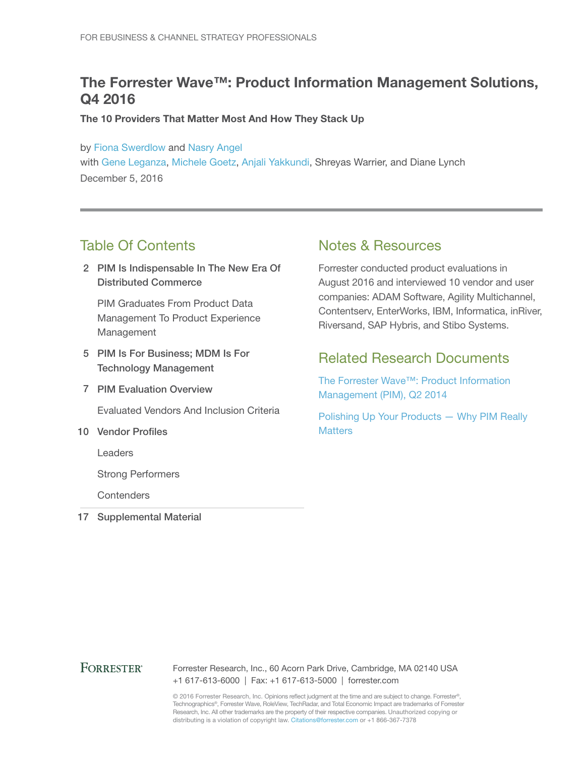## The Forrester Wave™: Product Information Management Solutions, Q4 2016

The 10 Providers That Matter Most And How They Stack Up

by [Fiona Swerdlow](http://www.forrester.com/go?objectid=BIO10344) and [Nasry Angel](http://www.forrester.com/go?objectid=BIO6084) with [Gene Leganza](http://www.forrester.com/go?objectid=BIO794), [Michele Goetz](http://www.forrester.com/go?objectid=BIO5224), [Anjali Yakkundi,](http://www.forrester.com/go?objectid=BIO2773) Shreyas Warrier, and Diane Lynch December 5, 2016

## Table Of Contents

2 PIM Is Indispensable In The New Era Of Distributed Commerce

PIM Graduates From Product Data Management To Product Experience Management

- 5 PIM Is For Business; MDM Is For Technology Management
- 7 PIM Evaluation Overview

Evaluated Vendors And Inclusion Criteria

10 Vendor Profiles

Leaders

Strong Performers

**Contenders** 

17 Supplemental Material

## Notes & Resources

Forrester conducted product evaluations in August 2016 and interviewed 10 vendor and user companies: ADAM Software, Agility Multichannel, Contentserv, EnterWorks, IBM, Informatica, inRiver, Riversand, SAP Hybris, and Stibo Systems.

## Related Research Documents

[The Forrester Wave™: Product Information](http://www.forrester.com/go?objectid=RES108002)  [Management \(PIM\), Q2 2014](http://www.forrester.com/go?objectid=RES108002)

[Polishing Up Your Products — Why PIM Really](http://www.forrester.com/go?objectid=RES116038)  **[Matters](http://www.forrester.com/go?objectid=RES116038)** 

### **FORRESTER®**

Forrester Research, Inc., 60 Acorn Park Drive, Cambridge, MA 02140 USA +1 617-613-6000 | Fax: +1 617-613-5000 | forrester.com

© 2016 Forrester Research, Inc. Opinions reflect judgment at the time and are subject to change. Forrester®, Technographics®, Forrester Wave, RoleView, TechRadar, and Total Economic Impact are trademarks of Forrester Research, Inc. All other trademarks are the property of their respective companies. Unauthorized copying or distributing is a violation of copyright law. Citations@forrester.com or +1 866-367-7378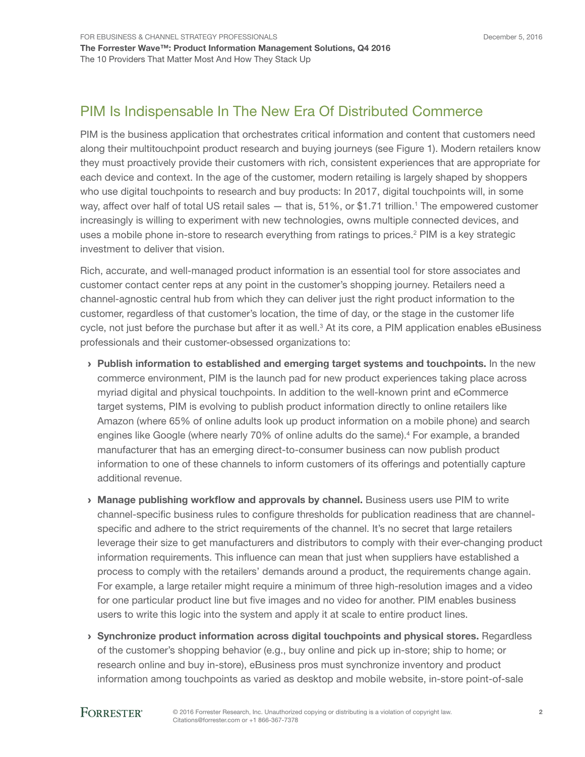## PIM Is Indispensable In The New Era Of Distributed Commerce

PIM is the business application that orchestrates critical information and content that customers need along their multitouchpoint product research and buying journeys (see Figure 1). Modern retailers know they must proactively provide their customers with rich, consistent experiences that are appropriate for each device and context. In the age of the customer, modern retailing is largely shaped by shoppers who use digital touchpoints to research and buy products: In 2017, digital touchpoints will, in some way, affect over half of total US retail sales — that is, 51%, or \$1.71 trillion.<sup>1</sup> The empowered customer increasingly is willing to experiment with new technologies, owns multiple connected devices, and uses a mobile phone in-store to research everything from ratings to prices.<sup>2</sup> PIM is a key strategic investment to deliver that vision.

Rich, accurate, and well-managed product information is an essential tool for store associates and customer contact center reps at any point in the customer's shopping journey. Retailers need a channel-agnostic central hub from which they can deliver just the right product information to the customer, regardless of that customer's location, the time of day, or the stage in the customer life cycle, not just before the purchase but after it as well.<sup>3</sup> At its core, a PIM application enables eBusiness professionals and their customer-obsessed organizations to:

- › Publish information to established and emerging target systems and touchpoints. In the new commerce environment, PIM is the launch pad for new product experiences taking place across myriad digital and physical touchpoints. In addition to the well-known print and eCommerce target systems, PIM is evolving to publish product information directly to online retailers like Amazon (where 65% of online adults look up product information on a mobile phone) and search engines like Google (where nearly 70% of online adults do the same).<sup>4</sup> For example, a branded manufacturer that has an emerging direct-to-consumer business can now publish product information to one of these channels to inform customers of its offerings and potentially capture additional revenue.
- › Manage publishing workflow and approvals by channel. Business users use PIM to write channel-specific business rules to configure thresholds for publication readiness that are channelspecific and adhere to the strict requirements of the channel. It's no secret that large retailers leverage their size to get manufacturers and distributors to comply with their ever-changing product information requirements. This infuence can mean that just when suppliers have established a process to comply with the retailers' demands around a product, the requirements change again. For example, a large retailer might require a minimum of three high-resolution images and a video for one particular product line but five images and no video for another. PIM enables business users to write this logic into the system and apply it at scale to entire product lines.
- › Synchronize product information across digital touchpoints and physical stores. Regardless of the customer's shopping behavior (e.g., buy online and pick up in-store; ship to home; or research online and buy in-store), eBusiness pros must synchronize inventory and product information among touchpoints as varied as desktop and mobile website, in-store point-of-sale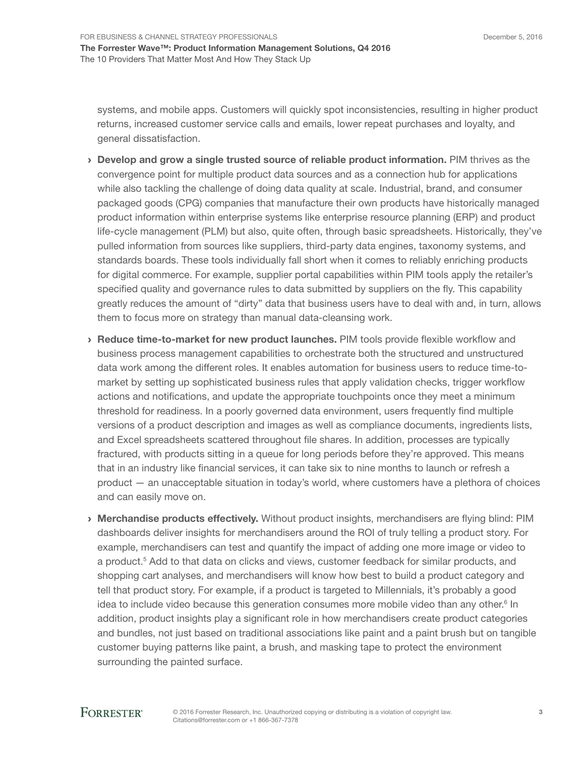December 5, 2016

systems, and mobile apps. Customers will quickly spot inconsistencies, resulting in higher product returns, increased customer service calls and emails, lower repeat purchases and loyalty, and general dissatisfaction.

- › Develop and grow a single trusted source of reliable product information. PIM thrives as the convergence point for multiple product data sources and as a connection hub for applications while also tackling the challenge of doing data quality at scale. Industrial, brand, and consumer packaged goods (CPG) companies that manufacture their own products have historically managed product information within enterprise systems like enterprise resource planning (ERP) and product life-cycle management (PLM) but also, quite often, through basic spreadsheets. Historically, they've pulled information from sources like suppliers, third-party data engines, taxonomy systems, and standards boards. These tools individually fall short when it comes to reliably enriching products for digital commerce. For example, supplier portal capabilities within PIM tools apply the retailer's specified quality and governance rules to data submitted by suppliers on the fly. This capability greatly reduces the amount of "dirty" data that business users have to deal with and, in turn, allows them to focus more on strategy than manual data-cleansing work.
- › Reduce time-to-market for new product launches. PIM tools provide fexible workfow and business process management capabilities to orchestrate both the structured and unstructured data work among the different roles. It enables automation for business users to reduce time-tomarket by setting up sophisticated business rules that apply validation checks, trigger workflow actions and notifcations, and update the appropriate touchpoints once they meet a minimum threshold for readiness. In a poorly governed data environment, users frequently find multiple versions of a product description and images as well as compliance documents, ingredients lists, and Excel spreadsheets scattered throughout fle shares. In addition, processes are typically fractured, with products sitting in a queue for long periods before they're approved. This means that in an industry like fnancial services, it can take six to nine months to launch or refresh a product — an unacceptable situation in today's world, where customers have a plethora of choices and can easily move on.
- › Merchandise products effectively. Without product insights, merchandisers are fying blind: PIM dashboards deliver insights for merchandisers around the ROI of truly telling a product story. For example, merchandisers can test and quantify the impact of adding one more image or video to a product.<sup>5</sup> Add to that data on clicks and views, customer feedback for similar products, and shopping cart analyses, and merchandisers will know how best to build a product category and tell that product story. For example, if a product is targeted to Millennials, it's probably a good idea to include video because this generation consumes more mobile video than any other.<sup>6</sup> In addition, product insights play a signifcant role in how merchandisers create product categories and bundles, not just based on traditional associations like paint and a paint brush but on tangible customer buying patterns like paint, a brush, and masking tape to protect the environment surrounding the painted surface.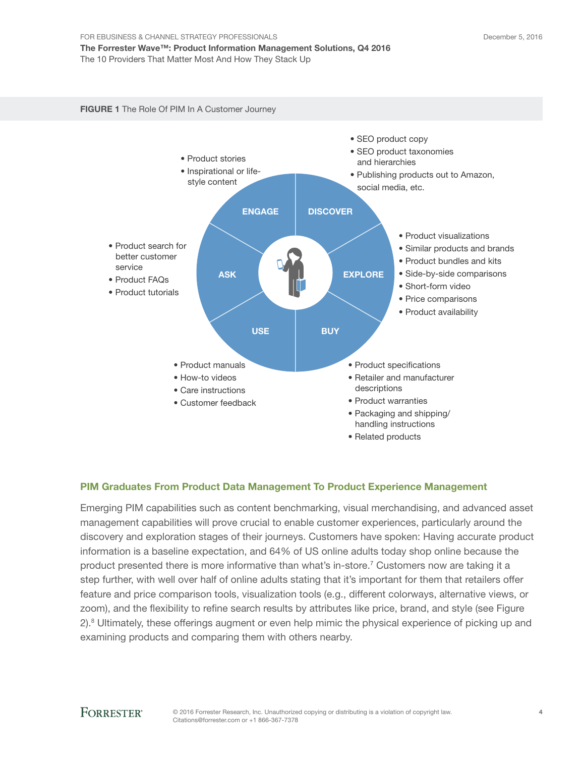#### FIGURE 1 The Role Of PIM In A Customer Journey



#### PIM Graduates From Product Data Management To Product Experience Management

Emerging PIM capabilities such as content benchmarking, visual merchandising, and advanced asset management capabilities will prove crucial to enable customer experiences, particularly around the discovery and exploration stages of their journeys. Customers have spoken: Having accurate product information is a baseline expectation, and 64% of US online adults today shop online because the product presented there is more informative than what's in-store.<sup>7</sup> Customers now are taking it a step further, with well over half of online adults stating that it's important for them that retailers offer feature and price comparison tools, visualization tools (e.g., different colorways, alternative views, or zoom), and the fexibility to refne search results by attributes like price, brand, and style (see Figure 2).<sup>8</sup> Ultimately, these offerings augment or even help mimic the physical experience of picking up and examining products and comparing them with others nearby.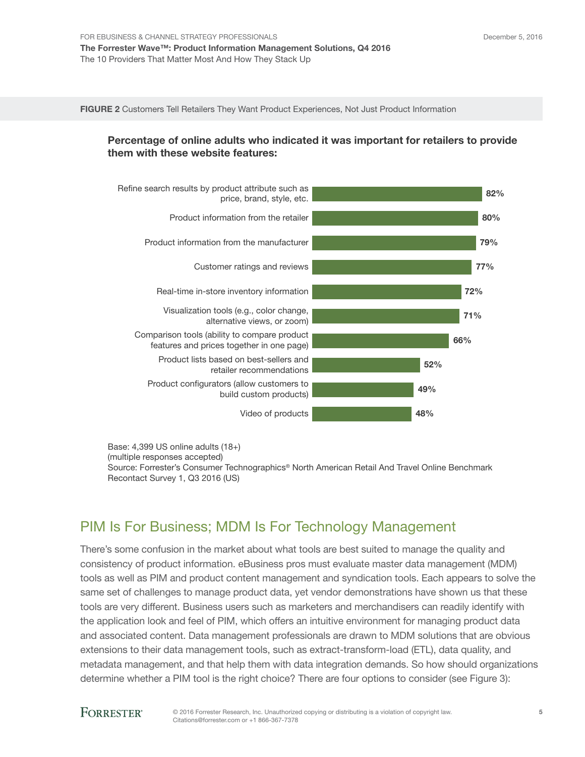FIGURE 2 Customers Tell Retailers They Want Product Experiences, Not Just Product Information

#### Percentage of online adults who indicated it was important for retailers to provide them with these website features:



Base: 4,399 US online adults (18+) (multiple responses accepted) Source: Forrester's Consumer Technographics® North American Retail And Travel Online Benchmark Recontact Survey 1, Q3 2016 (US)

## PIM Is For Business; MDM Is For Technology Management

There's some confusion in the market about what tools are best suited to manage the quality and consistency of product information. eBusiness pros must evaluate master data management (MDM) tools as well as PIM and product content management and syndication tools. Each appears to solve the same set of challenges to manage product data, yet vendor demonstrations have shown us that these tools are very different. Business users such as marketers and merchandisers can readily identify with the application look and feel of PIM, which offers an intuitive environment for managing product data and associated content. Data management professionals are drawn to MDM solutions that are obvious extensions to their data management tools, such as extract-transform-load (ETL), data quality, and metadata management, and that help them with data integration demands. So how should organizations determine whether a PIM tool is the right choice? There are four options to consider (see Figure 3):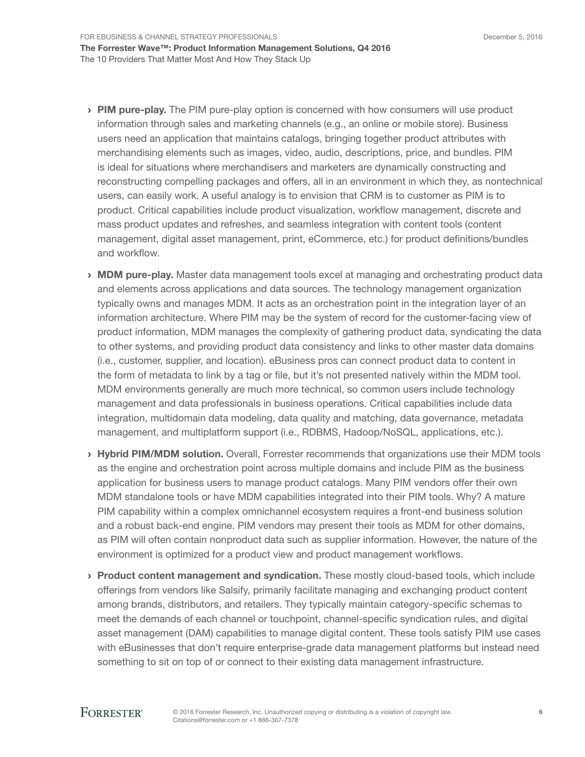- > PIM pure-play. The PIM pure-play option is concerned with how consumers will use product information through sales and marketing channels (e.g., an online or mobile store). Business users need an application that maintains catalogs, bringing together product attributes with merchandising elements such as images, video, audio, descriptions, price, and bundles. PIM is ideal for situations where merchandisers and marketers are dynamically constructing and reconstructing compelling packages and offers, all in an environment in which they, as nontechnical users, can easily work. A useful analogy is to envision that CRM is to customer as PIM is to product. Critical capabilities include product visualization, workflow management, discrete and mass product updates and refreshes, and seamless integration with content tools (content management, digital asset management, print, eCommerce, etc.) for product defnitions/bundles and workflow.
- **MDM pure-play.** Master data management tools excel at managing and orchestrating product data and elements across applications and data sources. The technology management organization typically owns and manages MDM. It acts as an orchestration point in the integration layer of an information architecture. Where PIM may be the system of record for the customer-facing view of product information, MDM manages the complexity of gathering product data, syndicating the data to other systems, and providing product data consistency and links to other master data domains (i.e., customer, supplier, and location). eBusiness pros can connect product data to content in the form of metadata to link by a tag or fle, but it's not presented natively within the MDM tool. MDM environments generally are much more technical, so common users include technology management and data professionals in business operations. Critical capabilities include data integration, multidomain data modeling, data quality and matching, data governance, metadata management, and multiplatform support (i.e., RDBMS, Hadoop/NoSQL, applications, etc.).
- > Hybrid PIM/MDM solution. Overall, Forrester recommends that organizations use their MDM tools as the engine and orchestration point across multiple domains and include PIM as the business application for business users to manage product catalogs. Many PIM vendors offer their own MDM standalone tools or have MDM capabilities integrated into their PIM tools. Why? A mature PIM capability within a complex omnichannel ecosystem requires a front-end business solution and a robust back-end engine. PIM vendors may present their tools as MDM for other domains, as PIM will often contain nonproduct data such as supplier information. However, the nature of the environment is optimized for a product view and product management workfows.
- **Product content management and syndication.** These mostly cloud-based tools, which include offerings from vendors like Salsify, primarily facilitate managing and exchanging product content among brands, distributors, and retailers. They typically maintain category-specific schemas to meet the demands of each channel or touchpoint, channel-specifc syndication rules, and digital asset management (DAM) capabilities to manage digital content. These tools satisfy PIM use cases with eBusinesses that don't require enterprise-grade data management platforms but instead need something to sit on top of or connect to their existing data management infrastructure.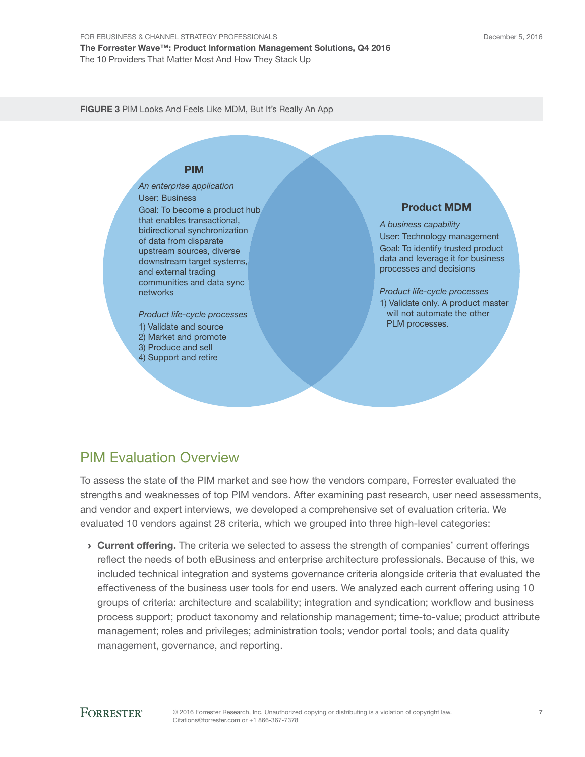FIGURE 3 PIM Looks And Feels Like MDM, But It's Really An App

### PIM

*An enterprise application* User: Business Goal: To become a product hub that enables transactional, bidirectional synchronization of data from disparate upstream sources, diverse downstream target systems, and external trading communities and data sync networks

- *Product life-cycle processes*
- 1) Validate and source
- 2) Market and promote 3) Produce and sell
- 4) Support and retire

#### Product MDM

*A business capability* User: Technology management Goal: To identify trusted product data and leverage it for business processes and decisions

*Product life-cycle processes* 1) Validate only. A product master will not automate the other PLM processes.

## PIM Evaluation Overview

To assess the state of the PIM market and see how the vendors compare, Forrester evaluated the strengths and weaknesses of top PIM vendors. After examining past research, user need assessments, and vendor and expert interviews, we developed a comprehensive set of evaluation criteria. We evaluated 10 vendors against 28 criteria, which we grouped into three high-level categories:

› Current offering. The criteria we selected to assess the strength of companies' current offerings refect the needs of both eBusiness and enterprise architecture professionals. Because of this, we included technical integration and systems governance criteria alongside criteria that evaluated the effectiveness of the business user tools for end users. We analyzed each current offering using 10 groups of criteria: architecture and scalability; integration and syndication; workfow and business process support; product taxonomy and relationship management; time-to-value; product attribute management; roles and privileges; administration tools; vendor portal tools; and data quality management, governance, and reporting.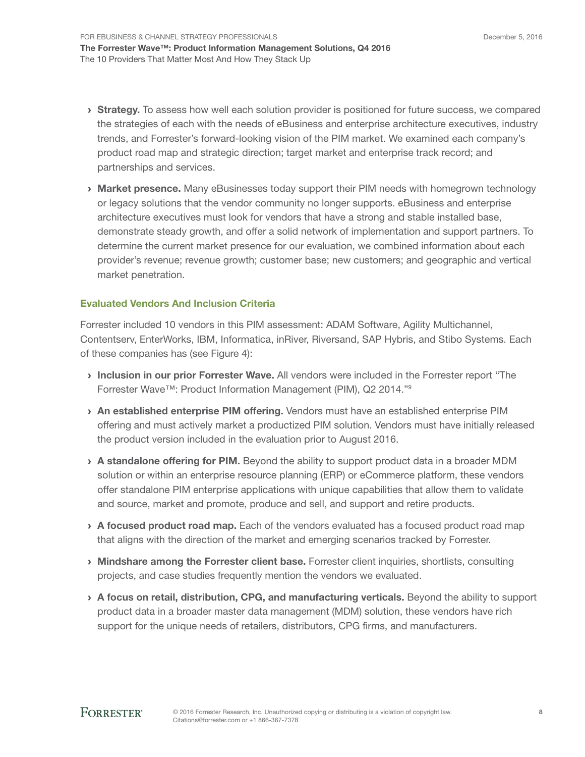- > Strategy. To assess how well each solution provider is positioned for future success, we compared the strategies of each with the needs of eBusiness and enterprise architecture executives, industry trends, and Forrester's forward-looking vision of the PIM market. We examined each company's product road map and strategic direction; target market and enterprise track record; and partnerships and services.
- **Market presence.** Many eBusinesses today support their PIM needs with homegrown technology or legacy solutions that the vendor community no longer supports. eBusiness and enterprise architecture executives must look for vendors that have a strong and stable installed base, demonstrate steady growth, and offer a solid network of implementation and support partners. To determine the current market presence for our evaluation, we combined information about each provider's revenue; revenue growth; customer base; new customers; and geographic and vertical market penetration.

#### Evaluated Vendors And Inclusion Criteria

Forrester included 10 vendors in this PIM assessment: ADAM Software, Agility Multichannel, Contentserv, EnterWorks, IBM, Informatica, inRiver, Riversand, SAP Hybris, and Stibo Systems. Each of these companies has (see Figure 4):

- › Inclusion in our prior Forrester Wave. All vendors were included in the Forrester report "The Forrester Wave™: Product Information Management (PIM), Q2 2014."<sup>9</sup>
- › An established enterprise PIM offering. Vendors must have an established enterprise PIM offering and must actively market a productized PIM solution. Vendors must have initially released the product version included in the evaluation prior to August 2016.
- $\rightarrow$  A standalone offering for PIM. Beyond the ability to support product data in a broader MDM solution or within an enterprise resource planning (ERP) or eCommerce platform, these vendors offer standalone PIM enterprise applications with unique capabilities that allow them to validate and source, market and promote, produce and sell, and support and retire products.
- > A focused product road map. Each of the vendors evaluated has a focused product road map that aligns with the direction of the market and emerging scenarios tracked by Forrester.
- > Mindshare among the Forrester client base. Forrester client inquiries, shortlists, consulting projects, and case studies frequently mention the vendors we evaluated.
- › A focus on retail, distribution, CPG, and manufacturing verticals. Beyond the ability to support product data in a broader master data management (MDM) solution, these vendors have rich support for the unique needs of retailers, distributors, CPG firms, and manufacturers.

8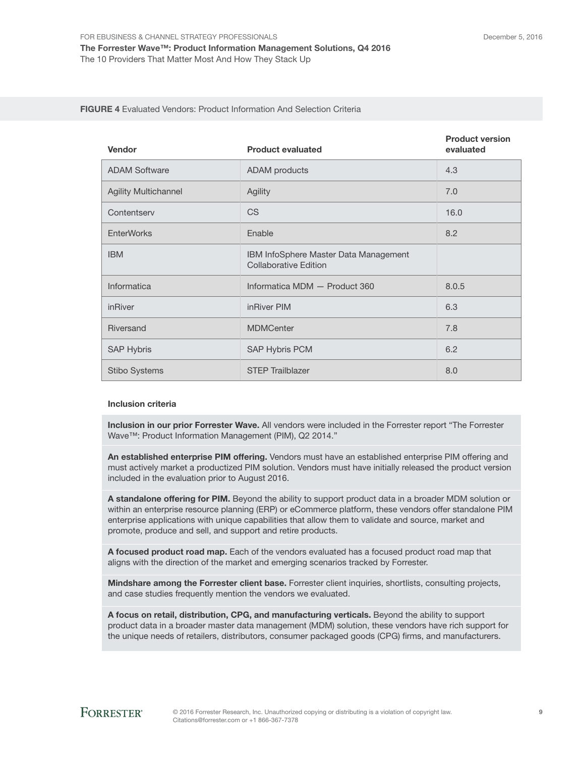#### FIGURE 4 Evaluated Vendors: Product Information And Selection Criteria

| <b>Vendor</b>               | <b>Product evaluated</b>                                              | <b>Product version</b><br>evaluated |
|-----------------------------|-----------------------------------------------------------------------|-------------------------------------|
| <b>ADAM Software</b>        | <b>ADAM</b> products                                                  | 4.3                                 |
| <b>Agility Multichannel</b> | Agility                                                               | 7.0                                 |
| Contentserv                 | <b>CS</b>                                                             | 16.0                                |
| <b>EnterWorks</b>           | Enable                                                                | 8.2                                 |
| <b>IBM</b>                  | IBM InfoSphere Master Data Management<br><b>Collaborative Edition</b> |                                     |
| Informatica                 | Informatica MDM - Product 360                                         | 8.0.5                               |
| inRiver                     | inRiver PIM                                                           | 6.3                                 |
| Riversand                   | <b>MDMCenter</b>                                                      | 7.8                                 |
| <b>SAP Hybris</b>           | <b>SAP Hybris PCM</b>                                                 | 6.2                                 |
| <b>Stibo Systems</b>        | <b>STEP Trailblazer</b>                                               | 8.0                                 |

#### Inclusion criteria

Inclusion in our prior Forrester Wave. All vendors were included in the Forrester report "The Forrester Wave™: Product Information Management (PIM), Q2 2014."

An established enterprise PIM offering. Vendors must have an established enterprise PIM offering and must actively market a productized PIM solution. Vendors must have initially released the product version included in the evaluation prior to August 2016.

A standalone offering for PIM. Beyond the ability to support product data in a broader MDM solution or within an enterprise resource planning (ERP) or eCommerce platform, these vendors offer standalone PIM enterprise applications with unique capabilities that allow them to validate and source, market and promote, produce and sell, and support and retire products.

A focused product road map. Each of the vendors evaluated has a focused product road map that aligns with the direction of the market and emerging scenarios tracked by Forrester.

Mindshare among the Forrester client base. Forrester client inquiries, shortlists, consulting projects, and case studies frequently mention the vendors we evaluated.

A focus on retail, distribution, CPG, and manufacturing verticals. Beyond the ability to support product data in a broader master data management (MDM) solution, these vendors have rich support for the unique needs of retailers, distributors, consumer packaged goods (CPG) frms, and manufacturers.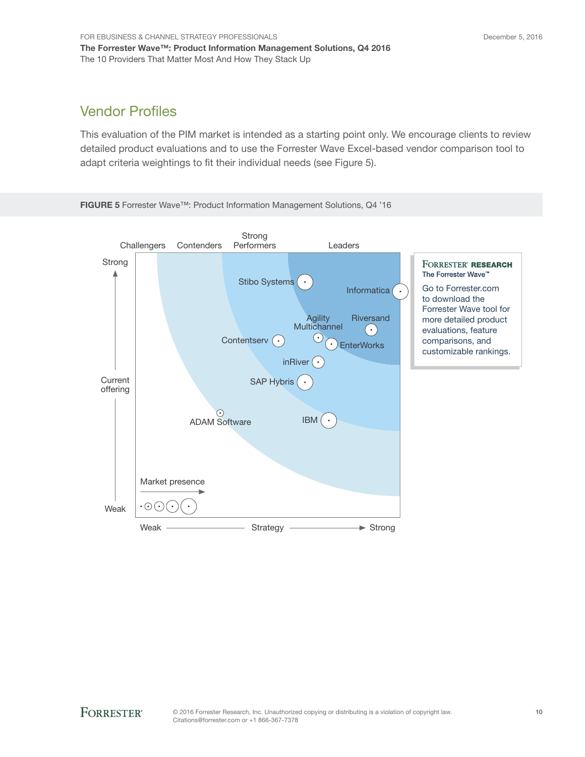## Vendor Profles

This evaluation of the PIM market is intended as a starting point only. We encourage clients to review detailed product evaluations and to use the Forrester Wave Excel-based vendor comparison tool to adapt criteria weightings to fit their individual needs (see Figure 5).

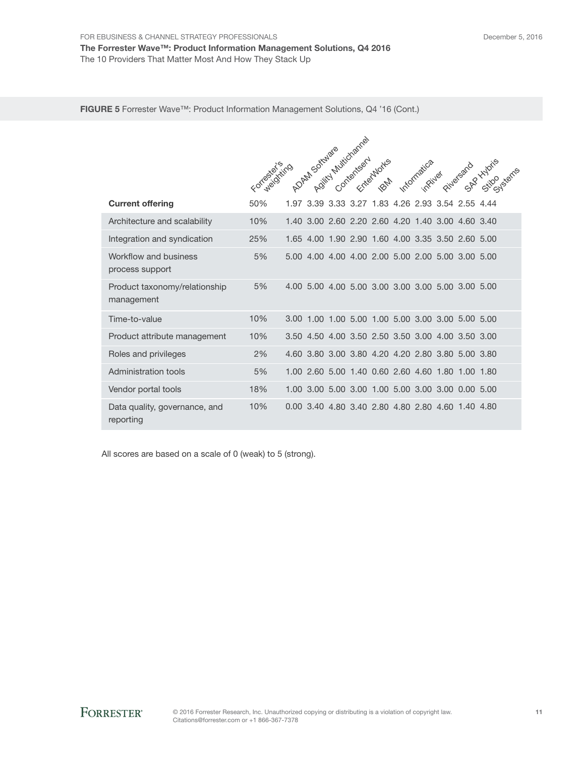#### FIGURE 5 Forrester Wave™: Product Information Management Solutions, Q4 '16 (Cont.)

|                                             | Agitty Muttichannel |      |                     |  |  |           |  |          |                                                   |  |  |
|---------------------------------------------|---------------------|------|---------------------|--|--|-----------|--|----------|---------------------------------------------------|--|--|
|                                             | Forwardsiting       |      | <b>DAM Software</b> |  |  | textuarks |  | inpiller |                                                   |  |  |
| <b>Current offering</b>                     | 50%                 |      |                     |  |  |           |  |          | 1.97 3.39 3.33 3.27 1.83 4.26 2.93 3.54 2.55 4.44 |  |  |
| Architecture and scalability                | 10%                 |      |                     |  |  |           |  |          | 1.40 3.00 2.60 2.20 2.60 4.20 1.40 3.00 4.60 3.40 |  |  |
| Integration and syndication                 | 25%                 |      |                     |  |  |           |  |          | 1.65 4.00 1.90 2.90 1.60 4.00 3.35 3.50 2.60 5.00 |  |  |
| Workflow and business<br>process support    | 5%                  |      |                     |  |  |           |  |          | 5.00 4.00 4.00 4.00 2.00 5.00 2.00 5.00 3.00 5.00 |  |  |
| Product taxonomy/relationship<br>management | 5%                  | 4.00 |                     |  |  |           |  |          | 5,00 4,00 5,00 3,00 3,00 3,00 5,00 3,00 5,00      |  |  |
| Time-to-value                               | 10%                 |      |                     |  |  |           |  |          | 3.00 1.00 1.00 5.00 1.00 5.00 3.00 3.00 5.00 5.00 |  |  |
| Product attribute management                | 10%                 |      |                     |  |  |           |  |          | 3.50 4.50 4.00 3.50 2.50 3.50 3.00 4.00 3.50 3.00 |  |  |
| Roles and privileges                        | 2%                  |      |                     |  |  |           |  |          | 4.60 3.80 3.00 3.80 4.20 4.20 2.80 3.80 5.00 3.80 |  |  |
| Administration tools                        | 5%                  |      |                     |  |  |           |  |          | 1.00 2.60 5.00 1.40 0.60 2.60 4.60 1.80 1.00 1.80 |  |  |
| Vendor portal tools                         | 18%                 |      |                     |  |  |           |  |          | 1.00 3.00 5.00 3.00 1.00 5.00 3.00 3.00 0.00 5.00 |  |  |
| Data quality, governance, and<br>reporting  | 10%                 |      |                     |  |  |           |  |          | 0.00 3.40 4.80 3.40 2.80 4.80 2.80 4.60 1.40 4.80 |  |  |

All scores are based on a scale of 0 (weak) to 5 (strong).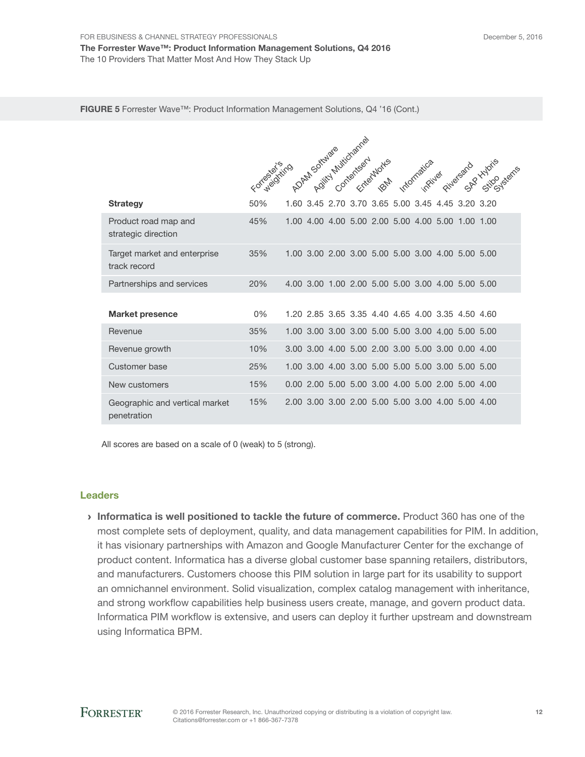#### FIGURE 5 Forrester Wave™: Product Information Management Solutions, Q4 '16 (Cont.)

|                                               | AS Assimilation of the Contractor |  |  |  |  |                             |  |          |                                                   |                         |
|-----------------------------------------------|-----------------------------------|--|--|--|--|-----------------------------|--|----------|---------------------------------------------------|-------------------------|
|                                               | Forwardsiting                     |  |  |  |  | Entertaintes<br><b>FOND</b> |  | infiiver |                                                   | Pitledeard Hydre Parrie |
| <b>Strategy</b>                               | 50%                               |  |  |  |  |                             |  |          | 1.60 3.45 2.70 3.70 3.65 5.00 3.45 4.45 3.20 3.20 |                         |
| Product road map and<br>strategic direction   | 45%                               |  |  |  |  |                             |  |          | 1.00 4.00 4.00 5.00 2.00 5.00 4.00 5.00 1.00 1.00 |                         |
| Target market and enterprise<br>track record  | 35%                               |  |  |  |  |                             |  |          | 1.00 3.00 2.00 3.00 5.00 5.00 3.00 4.00 5.00 5.00 |                         |
| Partnerships and services                     | 20%                               |  |  |  |  |                             |  |          | 4.00 3.00 1.00 2.00 5.00 5.00 3.00 4.00 5.00 5.00 |                         |
| <b>Market presence</b>                        | $0\%$                             |  |  |  |  |                             |  |          | 1.20 2.85 3.65 3.35 4.40 4.65 4.00 3.35 4.50 4.60 |                         |
| Revenue                                       | 35%                               |  |  |  |  |                             |  |          | 1.00 3.00 3.00 3.00 5.00 5.00 3.00 4.00 5.00 5.00 |                         |
| Revenue growth                                | 10%                               |  |  |  |  |                             |  |          | 3.00 3.00 4.00 5.00 2.00 3.00 5.00 3.00 0.00 4.00 |                         |
| Customer base                                 | 25%                               |  |  |  |  |                             |  |          | 1.00 3.00 4.00 3.00 5.00 5.00 5.00 3.00 5.00 5.00 |                         |
| New customers                                 | 15%                               |  |  |  |  |                             |  |          | 0.00 2.00 5.00 5.00 3.00 4.00 5.00 2.00 5.00 4.00 |                         |
| Geographic and vertical market<br>penetration | 15%                               |  |  |  |  |                             |  |          | 2.00 3.00 3.00 2.00 5.00 5.00 3.00 4.00 5.00 4.00 |                         |

All scores are based on a scale of 0 (weak) to 5 (strong).

#### Leaders

› Informatica is well positioned to tackle the future of commerce. Product 360 has one of the most complete sets of deployment, quality, and data management capabilities for PIM. In addition, it has visionary partnerships with Amazon and Google Manufacturer Center for the exchange of product content. Informatica has a diverse global customer base spanning retailers, distributors, and manufacturers. Customers choose this PIM solution in large part for its usability to support an omnichannel environment. Solid visualization, complex catalog management with inheritance, and strong workflow capabilities help business users create, manage, and govern product data. Informatica PIM workfow is extensive, and users can deploy it further upstream and downstream using Informatica BPM.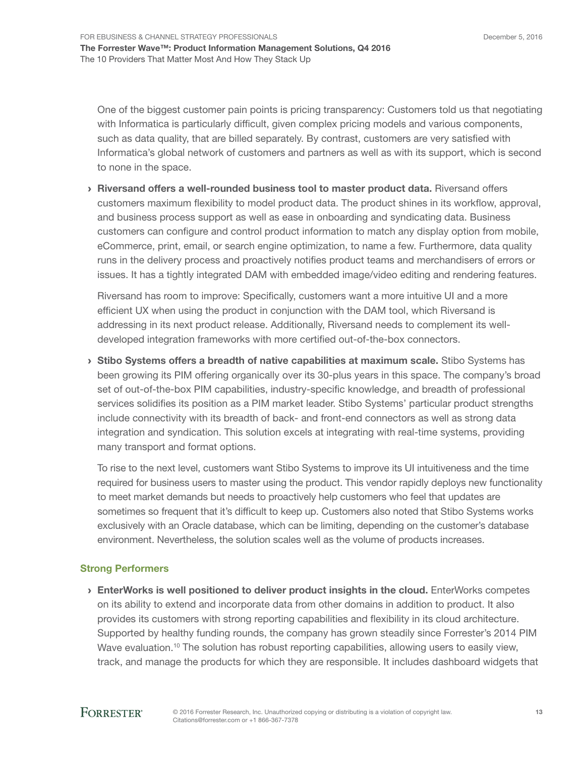December 5, 2016

One of the biggest customer pain points is pricing transparency: Customers told us that negotiating with Informatica is particularly difficult, given complex pricing models and various components, such as data quality, that are billed separately. By contrast, customers are very satisfed with Informatica's global network of customers and partners as well as with its support, which is second to none in the space.

› Riversand offers a well-rounded business tool to master product data. Riversand offers customers maximum flexibility to model product data. The product shines in its workflow, approval, and business process support as well as ease in onboarding and syndicating data. Business customers can confgure and control product information to match any display option from mobile, eCommerce, print, email, or search engine optimization, to name a few. Furthermore, data quality runs in the delivery process and proactively notifes product teams and merchandisers of errors or issues. It has a tightly integrated DAM with embedded image/video editing and rendering features.

Riversand has room to improve: Specifcally, customers want a more intuitive UI and a more efficient UX when using the product in conjunction with the DAM tool, which Riversand is addressing in its next product release. Additionally, Riversand needs to complement its welldeveloped integration frameworks with more certifed out-of-the-box connectors.

› Stibo Systems offers a breadth of native capabilities at maximum scale. Stibo Systems has been growing its PIM offering organically over its 30-plus years in this space. The company's broad set of out-of-the-box PIM capabilities, industry-specific knowledge, and breadth of professional services solidifes its position as a PIM market leader. Stibo Systems' particular product strengths include connectivity with its breadth of back- and front-end connectors as well as strong data integration and syndication. This solution excels at integrating with real-time systems, providing many transport and format options.

To rise to the next level, customers want Stibo Systems to improve its UI intuitiveness and the time required for business users to master using the product. This vendor rapidly deploys new functionality to meet market demands but needs to proactively help customers who feel that updates are sometimes so frequent that it's difficult to keep up. Customers also noted that Stibo Systems works exclusively with an Oracle database, which can be limiting, depending on the customer's database environment. Nevertheless, the solution scales well as the volume of products increases.

#### Strong Performers

 $\rightarrow$  EnterWorks is well positioned to deliver product insights in the cloud. EnterWorks competes on its ability to extend and incorporate data from other domains in addition to product. It also provides its customers with strong reporting capabilities and fexibility in its cloud architecture. Supported by healthy funding rounds, the company has grown steadily since Forrester's 2014 PIM Wave evaluation.<sup>10</sup> The solution has robust reporting capabilities, allowing users to easily view, track, and manage the products for which they are responsible. It includes dashboard widgets that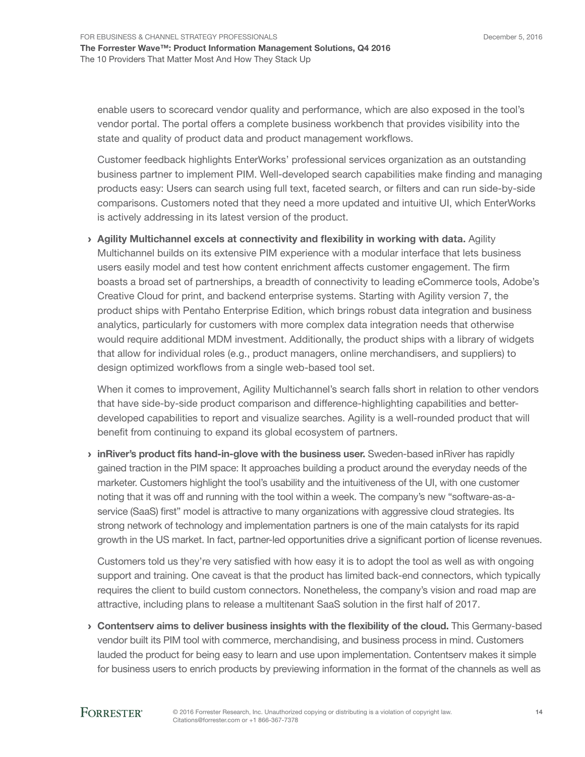enable users to scorecard vendor quality and performance, which are also exposed in the tool's vendor portal. The portal offers a complete business workbench that provides visibility into the state and quality of product data and product management workflows.

Customer feedback highlights EnterWorks' professional services organization as an outstanding business partner to implement PIM. Well-developed search capabilities make fnding and managing products easy: Users can search using full text, faceted search, or flters and can run side-by-side comparisons. Customers noted that they need a more updated and intuitive UI, which EnterWorks is actively addressing in its latest version of the product.

› Agility Multichannel excels at connectivity and flexibility in working with data. Agility Multichannel builds on its extensive PIM experience with a modular interface that lets business users easily model and test how content enrichment affects customer engagement. The frm boasts a broad set of partnerships, a breadth of connectivity to leading eCommerce tools, Adobe's Creative Cloud for print, and backend enterprise systems. Starting with Agility version 7, the product ships with Pentaho Enterprise Edition, which brings robust data integration and business analytics, particularly for customers with more complex data integration needs that otherwise would require additional MDM investment. Additionally, the product ships with a library of widgets that allow for individual roles (e.g., product managers, online merchandisers, and suppliers) to design optimized workflows from a single web-based tool set.

When it comes to improvement, Agility Multichannel's search falls short in relation to other vendors that have side-by-side product comparison and difference-highlighting capabilities and betterdeveloped capabilities to report and visualize searches. Agility is a well-rounded product that will benefit from continuing to expand its global ecosystem of partners.

**In River's product fits hand-in-glove with the business user.** Sweden-based in River has rapidly gained traction in the PIM space: It approaches building a product around the everyday needs of the marketer. Customers highlight the tool's usability and the intuitiveness of the UI, with one customer noting that it was off and running with the tool within a week. The company's new "software-as-aservice (SaaS) frst" model is attractive to many organizations with aggressive cloud strategies. Its strong network of technology and implementation partners is one of the main catalysts for its rapid growth in the US market. In fact, partner-led opportunities drive a signifcant portion of license revenues.

Customers told us they're very satisfed with how easy it is to adopt the tool as well as with ongoing support and training. One caveat is that the product has limited back-end connectors, which typically requires the client to build custom connectors. Nonetheless, the company's vision and road map are attractive, including plans to release a multitenant SaaS solution in the frst half of 2017.

› Contentserv aims to deliver business insights with the flexibility of the cloud. This Germany-based vendor built its PIM tool with commerce, merchandising, and business process in mind. Customers lauded the product for being easy to learn and use upon implementation. Contentserv makes it simple for business users to enrich products by previewing information in the format of the channels as well as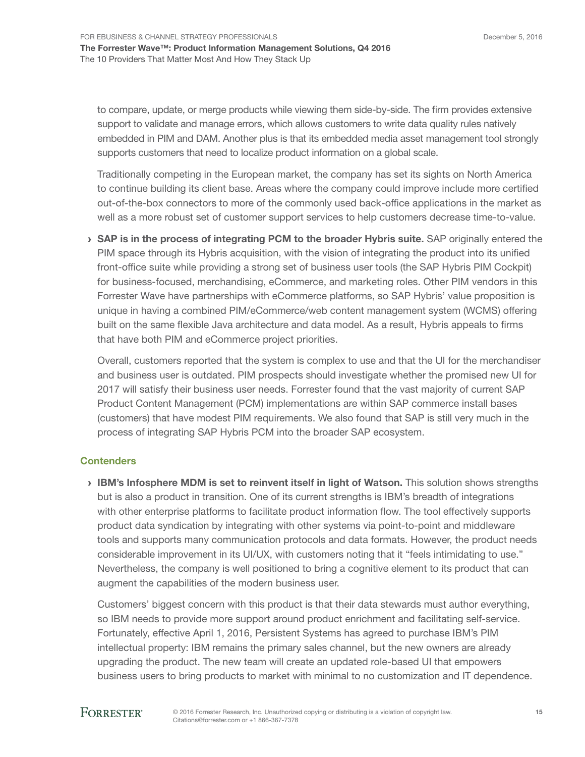to compare, update, or merge products while viewing them side-by-side. The frm provides extensive support to validate and manage errors, which allows customers to write data quality rules natively embedded in PIM and DAM. Another plus is that its embedded media asset management tool strongly supports customers that need to localize product information on a global scale.

Traditionally competing in the European market, the company has set its sights on North America to continue building its client base. Areas where the company could improve include more certifed out-of-the-box connectors to more of the commonly used back-offce applications in the market as well as a more robust set of customer support services to help customers decrease time-to-value.

 $\rightarrow$  SAP is in the process of integrating PCM to the broader Hybris suite. SAP originally entered the PIM space through its Hybris acquisition, with the vision of integrating the product into its unifed front-office suite while providing a strong set of business user tools (the SAP Hybris PIM Cockpit) for business-focused, merchandising, eCommerce, and marketing roles. Other PIM vendors in this Forrester Wave have partnerships with eCommerce platforms, so SAP Hybris' value proposition is unique in having a combined PIM/eCommerce/web content management system (WCMS) offering built on the same fexible Java architecture and data model. As a result, Hybris appeals to frms that have both PIM and eCommerce project priorities.

Overall, customers reported that the system is complex to use and that the UI for the merchandiser and business user is outdated. PIM prospects should investigate whether the promised new UI for 2017 will satisfy their business user needs. Forrester found that the vast majority of current SAP Product Content Management (PCM) implementations are within SAP commerce install bases (customers) that have modest PIM requirements. We also found that SAP is still very much in the process of integrating SAP Hybris PCM into the broader SAP ecosystem.

#### **Contenders**

› IBM's Infosphere MDM is set to reinvent itself in light of Watson. This solution shows strengths but is also a product in transition. One of its current strengths is IBM's breadth of integrations with other enterprise platforms to facilitate product information flow. The tool effectively supports product data syndication by integrating with other systems via point-to-point and middleware tools and supports many communication protocols and data formats. However, the product needs considerable improvement in its UI/UX, with customers noting that it "feels intimidating to use." Nevertheless, the company is well positioned to bring a cognitive element to its product that can augment the capabilities of the modern business user.

Customers' biggest concern with this product is that their data stewards must author everything, so IBM needs to provide more support around product enrichment and facilitating self-service. Fortunately, effective April 1, 2016, Persistent Systems has agreed to purchase IBM's PIM intellectual property: IBM remains the primary sales channel, but the new owners are already upgrading the product. The new team will create an updated role-based UI that empowers business users to bring products to market with minimal to no customization and IT dependence.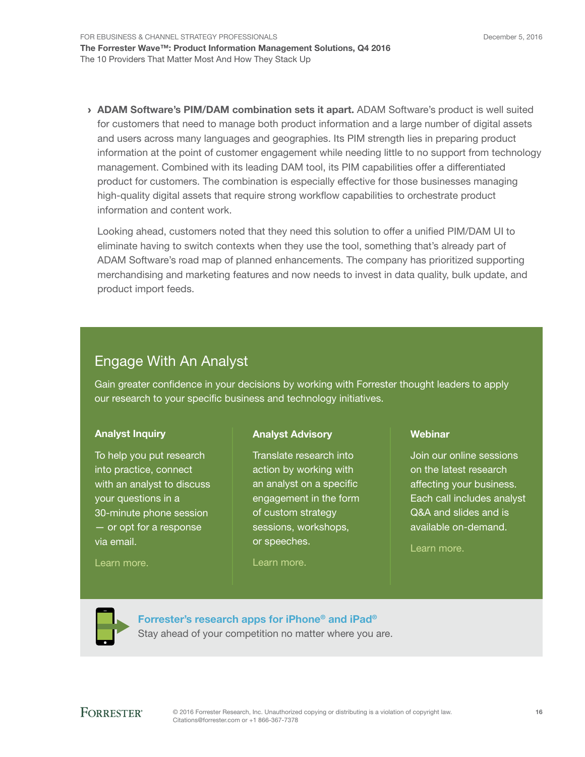FOR EBUSINESS & CHANNEL STRATEGY PROFESSIONALS The Forrester Wave™: Product Information Management Solutions, Q4 2016 The 10 Providers That Matter Most And How They Stack Up

> ADAM Software's PIM/DAM combination sets it apart. ADAM Software's product is well suited for customers that need to manage both product information and a large number of digital assets and users across many languages and geographies. Its PIM strength lies in preparing product information at the point of customer engagement while needing little to no support from technology management. Combined with its leading DAM tool, its PIM capabilities offer a differentiated product for customers. The combination is especially effective for those businesses managing high-quality digital assets that require strong workfow capabilities to orchestrate product information and content work.

Looking ahead, customers noted that they need this solution to offer a unifed PIM/DAM UI to eliminate having to switch contexts when they use the tool, something that's already part of ADAM Software's road map of planned enhancements. The company has prioritized supporting merchandising and marketing features and now needs to invest in data quality, bulk update, and product import feeds.

## Engage With An Analyst

Gain greater confdence in your decisions by working with Forrester thought leaders to apply our research to your specific business and technology initiatives.

#### Analyst Inquiry

To help you put research into practice, connect with an analyst to discuss your questions in a 30-minute phone session — or opt for a response via email.

#### [Learn more.](http://forr.com/1einFan)

#### Analyst Advisory

Translate research into action by working with an analyst on a specifc engagement in the form of custom strategy sessions, workshops, or speeches.

[Learn more.](http://www.forrester.com/Analyst-Advisory/-/E-MPL172)

#### Webinar

Join our online sessions on the latest research affecting your business. Each call includes analyst Q&A and slides and is available on-demand.

[Learn more](https://www.forrester.com/events?N=10006+5025).



[Forrester's research apps for iPhone® and iPad®](https://go.forrester.com/apps/) Stay ahead of your competition no matter where you are.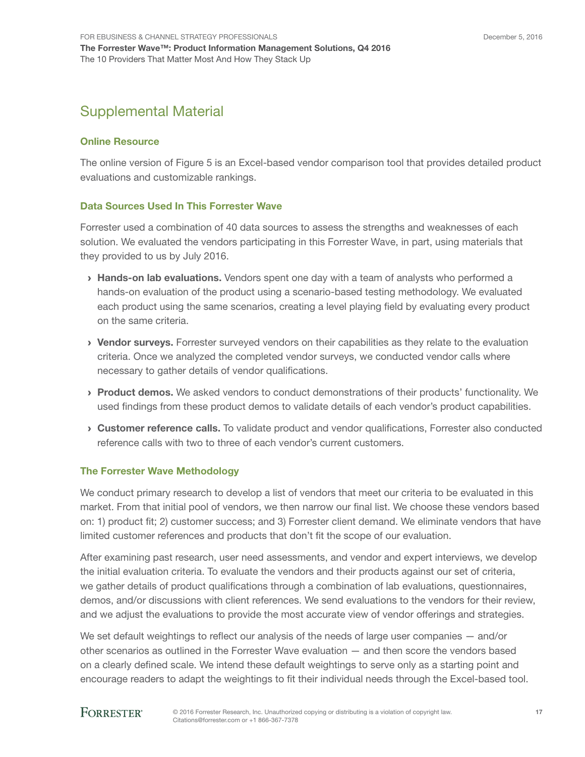## Supplemental Material

#### Online Resource

The online version of Figure 5 is an Excel-based vendor comparison tool that provides detailed product evaluations and customizable rankings.

#### Data Sources Used In This Forrester Wave

Forrester used a combination of 40 data sources to assess the strengths and weaknesses of each solution. We evaluated the vendors participating in this Forrester Wave, in part, using materials that they provided to us by July 2016.

- > Hands-on lab evaluations. Vendors spent one day with a team of analysts who performed a hands-on evaluation of the product using a scenario-based testing methodology. We evaluated each product using the same scenarios, creating a level playing feld by evaluating every product on the same criteria.
- › Vendor surveys. Forrester surveyed vendors on their capabilities as they relate to the evaluation criteria. Once we analyzed the completed vendor surveys, we conducted vendor calls where necessary to gather details of vendor qualifications.
- › Product demos. We asked vendors to conduct demonstrations of their products' functionality. We used fndings from these product demos to validate details of each vendor's product capabilities.
- › Customer reference calls. To validate product and vendor qualifcations, Forrester also conducted reference calls with two to three of each vendor's current customers.

#### The Forrester Wave Methodology

We conduct primary research to develop a list of vendors that meet our criteria to be evaluated in this market. From that initial pool of vendors, we then narrow our final list. We choose these vendors based on: 1) product ft; 2) customer success; and 3) Forrester client demand. We eliminate vendors that have limited customer references and products that don't fit the scope of our evaluation.

After examining past research, user need assessments, and vendor and expert interviews, we develop the initial evaluation criteria. To evaluate the vendors and their products against our set of criteria, we gather details of product qualifcations through a combination of lab evaluations, questionnaires, demos, and/or discussions with client references. We send evaluations to the vendors for their review, and we adjust the evaluations to provide the most accurate view of vendor offerings and strategies.

We set default weightings to reflect our analysis of the needs of large user companies  $-$  and/or other scenarios as outlined in the Forrester Wave evaluation — and then score the vendors based on a clearly defned scale. We intend these default weightings to serve only as a starting point and encourage readers to adapt the weightings to fit their individual needs through the Excel-based tool.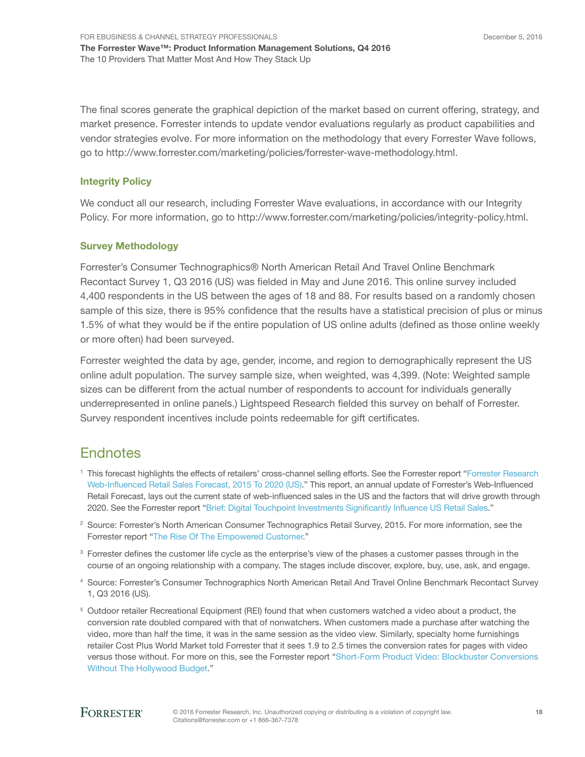The final scores generate the graphical depiction of the market based on current offering, strategy, and market presence. Forrester intends to update vendor evaluations regularly as product capabilities and vendor strategies evolve. For more information on the methodology that every Forrester Wave follows, go to http://www.forrester.com/marketing/policies/forrester-wave-methodology.html.

#### Integrity Policy

We conduct all our research, including Forrester Wave evaluations, in accordance with our Integrity Policy. For more information, go to http://www.forrester.com/marketing/policies/integrity-policy.html.

#### Survey Methodology

Forrester's Consumer Technographics® North American Retail And Travel Online Benchmark Recontact Survey 1, Q3 2016 (US) was felded in May and June 2016. This online survey included 4,400 respondents in the US between the ages of 18 and 88. For results based on a randomly chosen sample of this size, there is 95% confidence that the results have a statistical precision of plus or minus 1.5% of what they would be if the entire population of US online adults (defned as those online weekly or more often) had been surveyed.

Forrester weighted the data by age, gender, income, and region to demographically represent the US online adult population. The survey sample size, when weighted, was 4,399. (Note: Weighted sample sizes can be different from the actual number of respondents to account for individuals generally underrepresented in online panels.) Lightspeed Research felded this survey on behalf of Forrester. Survey respondent incentives include points redeemable for gift certifcates.

## **Endnotes**

- <sup>1</sup> This forecast highlights the effects of retailers' cross-channel selling efforts. See the Forrester report "Forrester Research [Web-Influenced Retail Sales Forecast, 2015 To 2020 \(US\).](http://www.forrester.com/go?objectid=RES129003)" This report, an annual update of Forrester's Web-Infuenced Retail Forecast, lays out the current state of web-infuenced sales in the US and the factors that will drive growth through 2020. See the Forrester report "[Brief: Digital Touchpoint Investments Significantly Influence US Retail Sales.](http://www.forrester.com/go?objectid=RES116715)"
- <sup>2</sup> Source: Forrester's North American Consumer Technographics Retail Survey, 2015. For more information, see the Forrester report "[The Rise Of The Empowered Customer](http://www.forrester.com/go?objectid=RES133207)."
- <sup>3</sup> Forrester defines the customer life cycle as the enterprise's view of the phases a customer passes through in the course of an ongoing relationship with a company. The stages include discover, explore, buy, use, ask, and engage.
- <sup>4</sup> Source: Forrester's Consumer Technographics North American Retail And Travel Online Benchmark Recontact Survey 1, Q3 2016 (US).
- 5 Outdoor retailer Recreational Equipment (REI) found that when customers watched a video about a product, the conversion rate doubled compared with that of nonwatchers. When customers made a purchase after watching the video, more than half the time, it was in the same session as the video view. Similarly, specialty home furnishings retailer Cost Plus World Market told Forrester that it sees 1.9 to 2.5 times the conversion rates for pages with video versus those without. For more on this, see the Forrester report "[Short-Form Product Video: Blockbuster Conversions](http://www.forrester.com/go?objectid=RES133991)  [Without The Hollywood Budget](http://www.forrester.com/go?objectid=RES133991)."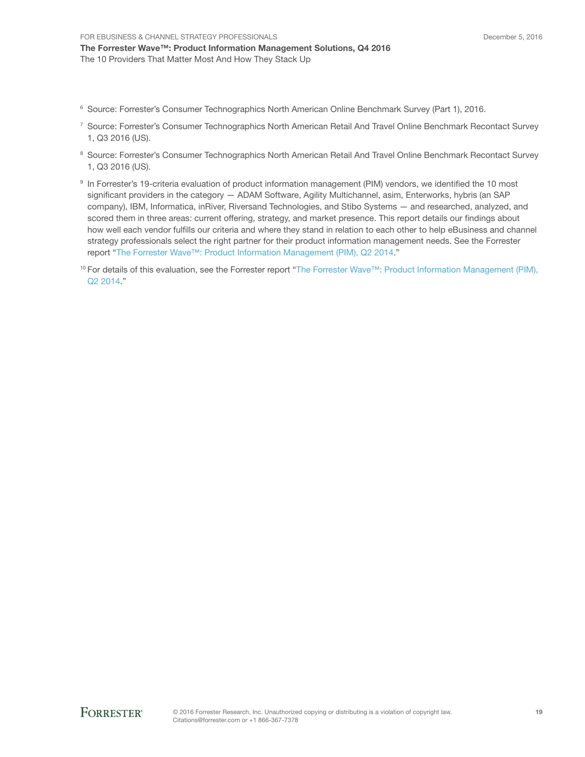- <sup>6</sup> Source: Forrester's Consumer Technographics North American Online Benchmark Survey (Part 1), 2016.
- <sup>7</sup> Source: Forrester's Consumer Technographics North American Retail And Travel Online Benchmark Recontact Survey 1, Q3 2016 (US).
- <sup>8</sup> Source: Forrester's Consumer Technographics North American Retail And Travel Online Benchmark Recontact Survey 1, Q3 2016 (US).
- 9 In Forrester's 19-criteria evaluation of product information management (PIM) vendors, we identifed the 10 most significant providers in the category - ADAM Software, Agility Multichannel, asim, Enterworks, hybris (an SAP company), IBM, Informatica, inRiver, Riversand Technologies, and Stibo Systems — and researched, analyzed, and scored them in three areas: current offering, strategy, and market presence. This report details our findings about how well each vendor fulflls our criteria and where they stand in relation to each other to help eBusiness and channel strategy professionals select the right partner for their product information management needs. See the Forrester report "[The Forrester Wave™: Product Information Management \(PIM\), Q2 2014.](http://www.forrester.com/go?objectid=RES108002)"
- <sup>10</sup> For details of this evaluation, see the Forrester report "The Forrester Wave™: Product Information Management (PIM), [Q2 2014.](http://www.forrester.com/go?objectid=RES108002)"